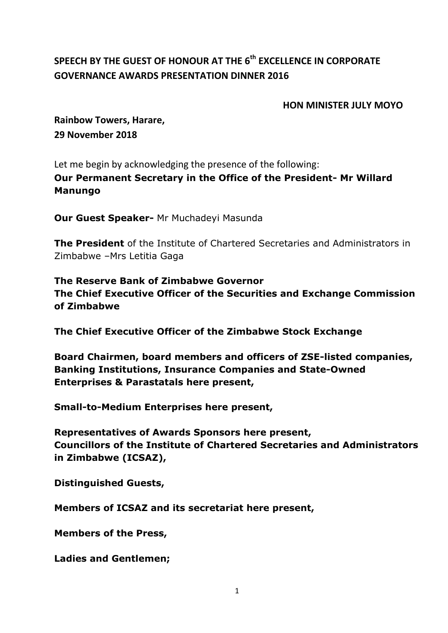## **SPEECH BY THE GUEST OF HONOUR AT THE 6 th EXCELLENCE IN CORPORATE GOVERNANCE AWARDS PRESENTATION DINNER 2016**

## **HON MINISTER JULY MOYO**

**Rainbow Towers, Harare, 29 November 2018**

Let me begin by acknowledging the presence of the following:

**Our Permanent Secretary in the Office of the President- Mr Willard Manungo**

**Our Guest Speaker-** Mr Muchadeyi Masunda

**The President** of the Institute of Chartered Secretaries and Administrators in Zimbabwe –Mrs Letitia Gaga

**The Reserve Bank of Zimbabwe Governor The Chief Executive Officer of the Securities and Exchange Commission of Zimbabwe**

**The Chief Executive Officer of the Zimbabwe Stock Exchange**

**Board Chairmen, board members and officers of ZSE-listed companies, Banking Institutions, Insurance Companies and State-Owned Enterprises & Parastatals here present,**

**Small-to-Medium Enterprises here present,**

**Representatives of Awards Sponsors here present, Councillors of the Institute of Chartered Secretaries and Administrators in Zimbabwe (ICSAZ),** 

**Distinguished Guests,** 

**Members of ICSAZ and its secretariat here present,** 

**Members of the Press,** 

**Ladies and Gentlemen;**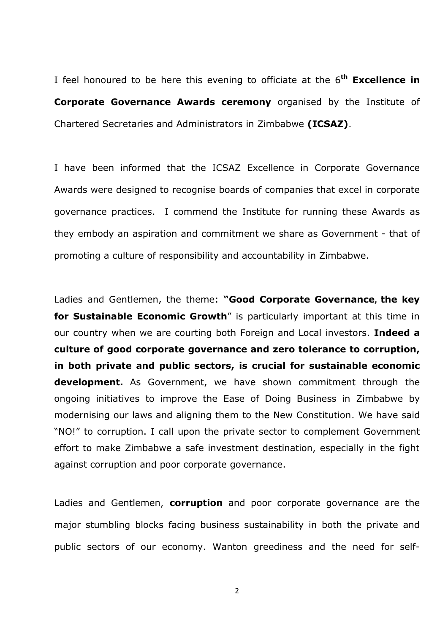I feel honoured to be here this evening to officiate at the 6 **th Excellence in Corporate Governance Awards ceremony** organised by the Institute of Chartered Secretaries and Administrators in Zimbabwe **(ICSAZ)**.

I have been informed that the ICSAZ Excellence in Corporate Governance Awards were designed to recognise boards of companies that excel in corporate governance practices. I commend the Institute for running these Awards as they embody an aspiration and commitment we share as Government - that of promoting a culture of responsibility and accountability in Zimbabwe.

Ladies and Gentlemen, the theme: **"Good Corporate Governance, the key for Sustainable Economic Growth**" is particularly important at this time in our country when we are courting both Foreign and Local investors. **Indeed a culture of good corporate governance and zero tolerance to corruption, in both private and public sectors, is crucial for sustainable economic development.** As Government, we have shown commitment through the ongoing initiatives to improve the Ease of Doing Business in Zimbabwe by modernising our laws and aligning them to the New Constitution. We have said "NO!" to corruption. I call upon the private sector to complement Government effort to make Zimbabwe a safe investment destination, especially in the fight against corruption and poor corporate governance.

Ladies and Gentlemen, **corruption** and poor corporate governance are the major stumbling blocks facing business sustainability in both the private and public sectors of our economy. Wanton greediness and the need for self-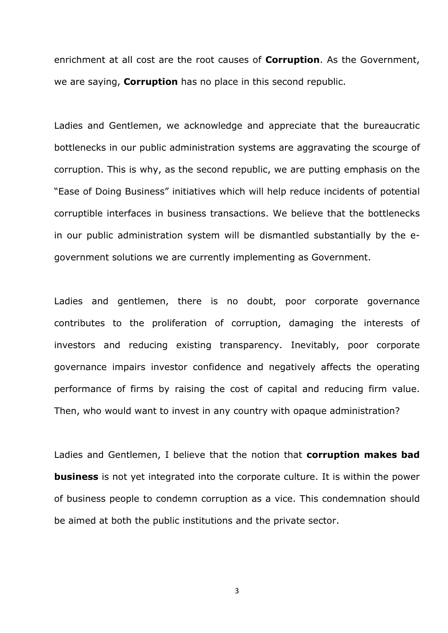enrichment at all cost are the root causes of **Corruption**. As the Government, we are saying, **Corruption** has no place in this second republic.

Ladies and Gentlemen, we acknowledge and appreciate that the bureaucratic bottlenecks in our public administration systems are aggravating the scourge of corruption. This is why, as the second republic, we are putting emphasis on the "Ease of Doing Business" initiatives which will help reduce incidents of potential corruptible interfaces in business transactions. We believe that the bottlenecks in our public administration system will be dismantled substantially by the egovernment solutions we are currently implementing as Government.

Ladies and gentlemen, there is no doubt, poor corporate governance contributes to the proliferation of corruption, damaging the interests of investors and reducing existing transparency. Inevitably, poor corporate governance impairs investor confidence and negatively affects the operating performance of firms by raising the cost of capital and reducing firm value. Then, who would want to invest in any country with opaque administration?

Ladies and Gentlemen, I believe that the notion that **corruption makes bad business** is not yet integrated into the corporate culture. It is within the power of business people to condemn corruption as a vice. This condemnation should be aimed at both the public institutions and the private sector.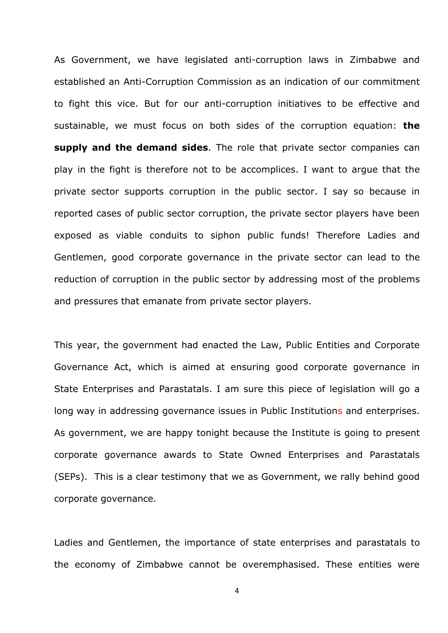As Government, we have legislated anti-corruption laws in Zimbabwe and established an Anti-Corruption Commission as an indication of our commitment to fight this vice. But for our anti-corruption initiatives to be effective and sustainable, we must focus on both sides of the corruption equation: **the supply and the demand sides**. The role that private sector companies can play in the fight is therefore not to be accomplices. I want to argue that the private sector supports corruption in the public sector. I say so because in reported cases of public sector corruption, the private sector players have been exposed as viable conduits to siphon public funds! Therefore Ladies and Gentlemen, good corporate governance in the private sector can lead to the reduction of corruption in the public sector by addressing most of the problems and pressures that emanate from private sector players.

This year, the government had enacted the Law, Public Entities and Corporate Governance Act, which is aimed at ensuring good corporate governance in State Enterprises and Parastatals. I am sure this piece of legislation will go a long way in addressing governance issues in Public Institutions and enterprises. As government, we are happy tonight because the Institute is going to present corporate governance awards to State Owned Enterprises and Parastatals (SEPs). This is a clear testimony that we as Government, we rally behind good corporate governance.

Ladies and Gentlemen, the importance of state enterprises and parastatals to the economy of Zimbabwe cannot be overemphasised. These entities were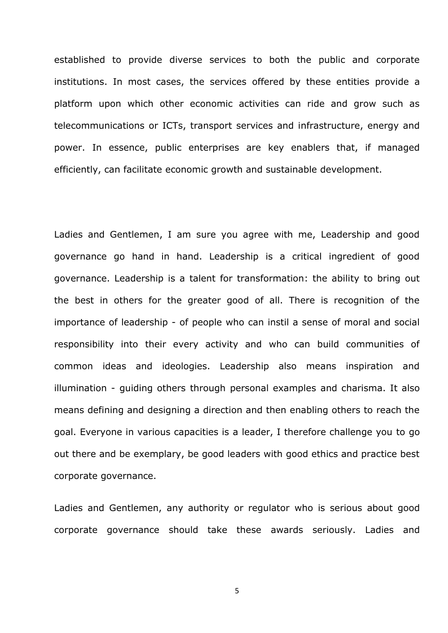established to provide diverse services to both the public and corporate institutions. In most cases, the services offered by these entities provide a platform upon which other economic activities can ride and grow such as telecommunications or ICTs, transport services and infrastructure, energy and power. In essence, public enterprises are key enablers that, if managed efficiently, can facilitate economic growth and sustainable development.

Ladies and Gentlemen, I am sure you agree with me, Leadership and good governance go hand in hand. Leadership is a critical ingredient of good governance. Leadership is a talent for transformation: the ability to bring out the best in others for the greater good of all. There is recognition of the importance of leadership - of people who can instil a sense of moral and social responsibility into their every activity and who can build communities of common ideas and ideologies. Leadership also means inspiration and illumination - guiding others through personal examples and charisma. It also means defining and designing a direction and then enabling others to reach the goal. Everyone in various capacities is a leader, I therefore challenge you to go out there and be exemplary, be good leaders with good ethics and practice best corporate governance.

Ladies and Gentlemen, any authority or regulator who is serious about good corporate governance should take these awards seriously. Ladies and